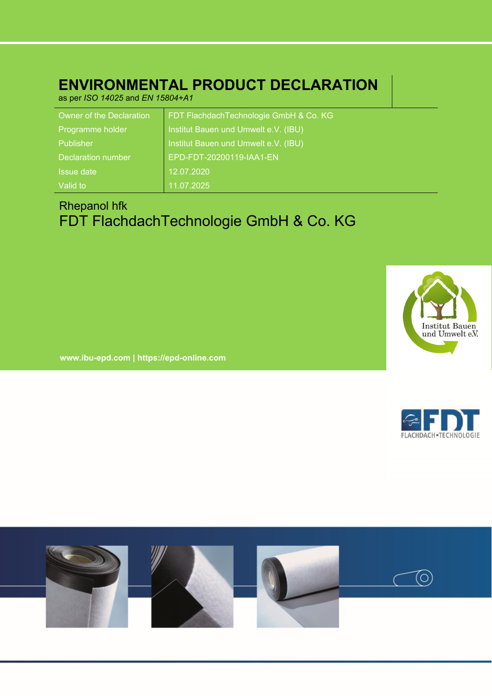# **ENVIRONMENTAL PRODUCT DECLARATION**

as per *ISO 14025* and *EN 15804+A1*

| Owner of the Declaration | FDT Flachdach Technologie GmbH & Co. KG |
|--------------------------|-----------------------------------------|
| Programme holder         | Institut Bauen und Umwelt e.V. (IBU)    |
| Publisher                | Institut Bauen und Umwelt e.V. (IBU)    |
| Declaration number       | EPD-FDT-20200119-IAA1-EN                |
| Issue date               | 12.07.2020                              |
| Valid to                 | 11.07.2025                              |

# Rhepanol hfk FDT FlachdachTechnologie GmbH & Co. KG



**www.ibu-epd.com | https://epd-online.com**



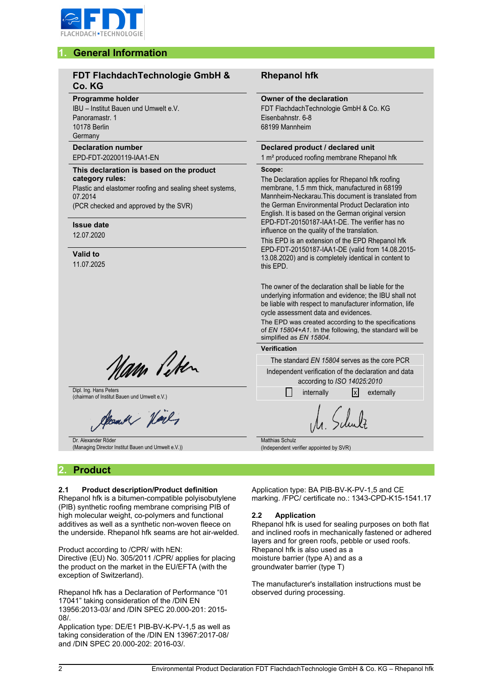

# **1. General Information**

## **FDT FlachdachTechnologie GmbH & Co. KG**

#### **Programme holder**

IBU – Institut Bauen und Umwelt e.V. Panoramastr. 1 10178 Berlin **Germany** 

#### **Declaration number** EPD-FDT-20200119-IAA1-EN

#### **This declaration is based on the product category rules:** Plastic and elastomer roofing and sealing sheet systems,

07.2014

(PCR checked and approved by the SVR)

## **Issue date**

12.07.2020

### **Valid to**

11.07.2025

am liter

Dipl. Ing. Hans Peters Dipl. Ing. Hans Peters and Umwelt e.V.) internally internally internally  $\Box$  internally  $\Box$  externally

and Valy

Dr. Alexander Röder (Managing Director Institut Bauen und Umwelt e.V.))

# **2. Product**

### **2.1 Product description/Product definition**

Rhepanol hfk is a bitumen-compatible polyisobutylene (PIB) synthetic roofing membrane comprising PIB of high molecular weight, co-polymers and functional additives as well as a synthetic non-woven fleece on the underside. Rhepanol hfk seams are hot air-welded.

Product according to /CPR/ with hEN: Directive (EU) No. 305/2011 /CPR/ applies for placing

the product on the market in the EU/EFTA (with the exception of Switzerland).

Rhepanol hfk has a Declaration of Performance "01 17041" taking consideration of the /DIN EN 13956:2013-03/ and /DIN SPEC 20.000-201: 2015- 08/.

Application type: DE/E1 PIB-BV-K-PV-1,5 as well as taking consideration of the /DIN EN 13967:2017-08/ and /DIN SPEC 20.000-202: 2016-03/.

## **Rhepanol hfk**

#### **Owner of the declaration**

FDT FlachdachTechnologie GmbH & Co. KG Eisenbahnstr. 6-8 68199 Mannheim

# **Declared product / declared unit**

1 m² produced roofing membrane Rhepanol hfk

#### **Scope:**

The Declaration applies for Rhepanol hfk roofing membrane, 1.5 mm thick, manufactured in 68199 Mannheim-Neckarau.This document is translated from the German Environmental Product Declaration into English. It is based on the German original version EPD-FDT-20150187-IAA1-DE. The verifier has no influence on the quality of the translation.

This EPD is an extension of the EPD Rhepanol hfk EPD-FDT-20150187-IAA1-DE (valid from 14.08.2015- 13.08.2020) and is completely identical in content to this EPD.

The owner of the declaration shall be liable for the underlying information and evidence; the IBU shall not be liable with respect to manufacturer information, life cycle assessment data and evidences.

The EPD was created according to the specifications of *EN 15804+A1*. In the following, the standard will be simplified as *EN 15804*.

#### **Verification**

The standard *EN 15804* serves as the core PCR

Independent verification of the declaration and data according to *ISO 14025:2010*

Matthias Schulz (Independent verifier appointed by SVR)

Application type: BA PIB-BV-K-PV-1,5 and CE marking. /FPC/ certificate no.: 1343-CPD-K15-1541.17

#### **2.2 Application**

Rhepanol hfk is used for sealing purposes on both flat and inclined roofs in mechanically fastened or adhered layers and for green roofs, pebble or used roofs. Rhepanol hfk is also used as a moisture barrier (type A) and as a groundwater barrier (type T)

The manufacturer's installation instructions must be observed during processing.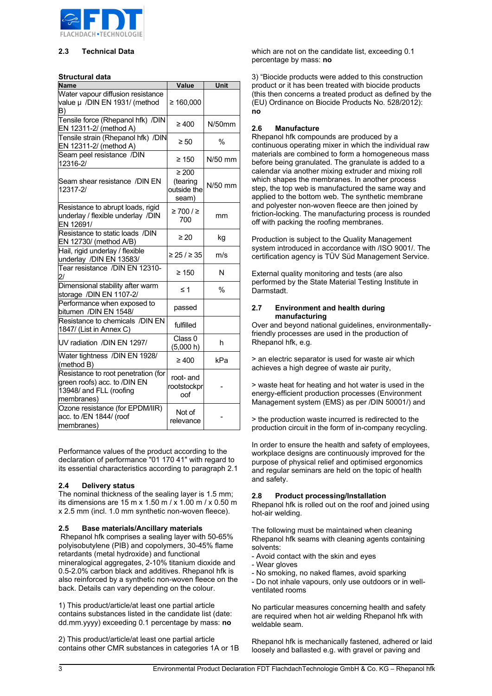

#### **2.3 Technical Data**

#### **Structural data**

| <b>Name</b>                                                                                                  | Value                                          | Unit          |  |  |
|--------------------------------------------------------------------------------------------------------------|------------------------------------------------|---------------|--|--|
| Water vapour diffusion resistance<br>value µ /DIN EN 1931/ (method<br>B)                                     | ≥ 160,000                                      |               |  |  |
| Tensile force (Rhepanol hfk) /DIN<br>EN 12311-2/ (method A)                                                  | ≥ 400                                          | $N/50$ mm     |  |  |
| Tensile strain (Rhepanol hfk) /DIN<br>EN 12311-2/ (method A)                                                 | $\geq 50$                                      | $\frac{0}{0}$ |  |  |
| Seam peel resistance /DIN<br>12316-2/                                                                        | ≥ 150                                          | $N/50$ mm     |  |  |
| Seam shear resistance /DIN EN<br>12317-2/                                                                    | $\geq 200$<br>(tearing<br>outside the<br>seam) | N/50 mm       |  |  |
| Resistance to abrupt loads, rigid<br>underlay / flexible underlay /DIN<br>EN 12691/                          | ≥ 700 / ≥<br>700                               | mm            |  |  |
| Resistance to static loads /DIN<br>EN 12730/ (method A/B)                                                    | $\geq 20$                                      | kg            |  |  |
| Hail, rigid underlay / flexible<br>underlay /DIN EN 13583/                                                   | ≥ 25 / ≥ 35                                    | m/s           |  |  |
| Tear resistance /DIN EN 12310-<br>21                                                                         | $\geq 150$                                     | N             |  |  |
| Dimensional stability after warm<br>storage /DIN EN 1107-2/                                                  | $\leq 1$                                       | $\%$          |  |  |
| Performance when exposed to<br>bitumen /DIN EN 1548/                                                         | passed                                         |               |  |  |
| Resistance to chemicals /DIN EN<br>1847/ (List in Annex C)                                                   | fulfilled                                      |               |  |  |
| UV radiation /DIN EN 1297/                                                                                   | Class <sub>0</sub><br>(5,000 h)                | h             |  |  |
| Water tightness /DIN EN 1928/<br>(method B)                                                                  | $\geq 400$                                     | kPa           |  |  |
| Resistance to root penetration (for<br>green roofs) acc. to /DIN EN<br>13948/ and FLL (roofing<br>membranes) | root- and<br>rootstockpr<br>oof                |               |  |  |
| Ozone resistance (for EPDM/IIR)<br>acc. to /EN 1844/ (roof<br>membranes)                                     | Not of<br>relevance                            |               |  |  |

Performance values of the product according to the declaration of performance "01 170 41" with regard to its essential characteristics according to paragraph 2.1

#### **2.4 Delivery status**

The nominal thickness of the sealing layer is 1.5 mm; its dimensions are 15 m x 1.50 m / x 1.00 m / x 0.50 m x 2.5 mm (incl. 1.0 mm synthetic non-woven fleece).

#### **2.5 Base materials/Ancillary materials**

Rhepanol hfk comprises a sealing layer with 50-65% polyisobutylene (PIB) and copolymers, 30-45% flame retardants (metal hydroxide) and functional mineralogical aggregates, 2-10% titanium dioxide and 0.5-2.0% carbon black and additives. Rhepanol hfk is also reinforced by a synthetic non-woven fleece on the back. Details can vary depending on the colour.

1) This product/article/at least one partial article contains substances listed in the candidate list (date: dd.mm.yyyy) exceeding 0.1 percentage by mass: **no**

2) This product/article/at least one partial article contains other CMR substances in categories 1A or 1B which are not on the candidate list, exceeding 0.1 percentage by mass: **no**

3) "Biocide products were added to this construction product or it has been treated with biocide products (this then concerns a treated product as defined by the (EU) Ordinance on Biocide Products No. 528/2012): **no**

#### **2.6 Manufacture**

Rhepanol hfk compounds are produced by a continuous operating mixer in which the individual raw materials are combined to form a homogeneous mass before being granulated. The granulate is added to a calendar via another mixing extruder and mixing roll which shapes the membranes. In another process step, the top web is manufactured the same way and applied to the bottom web. The synthetic membrane and polyester non-woven fleece are then joined by friction-locking. The manufacturing process is rounded off with packing the roofing membranes.

Production is subject to the Quality Management system introduced in accordance with /ISO 9001/. The certification agency is TÜV Süd Management Service.

External quality monitoring and tests (are also performed by the State Material Testing Institute in Darmstadt.

#### **2.7 Environment and health during manufacturing**

Over and beyond national guidelines, environmentallyfriendly processes are used in the production of Rhepanol hfk, e.g.

> an electric separator is used for waste air which achieves a high degree of waste air purity,

> waste heat for heating and hot water is used in the energy-efficient production processes (Environment Management system (EMS) as per /DIN 50001/) and

> the production waste incurred is redirected to the production circuit in the form of in-company recycling.

In order to ensure the health and safety of employees, workplace designs are continuously improved for the purpose of physical relief and optimised ergonomics and regular seminars are held on the topic of health and safety.

#### **2.8 Product processing/Installation**

Rhepanol hfk is rolled out on the roof and joined using hot-air welding.

The following must be maintained when cleaning Rhepanol hfk seams with cleaning agents containing solvents:

- Avoid contact with the skin and eyes
- Wear gloves
- No smoking, no naked flames, avoid sparking

- Do not inhale vapours, only use outdoors or in wellventilated rooms

No particular measures concerning health and safety are required when hot air welding Rhepanol hfk with weldable seam.

Rhepanol hfk is mechanically fastened, adhered or laid loosely and ballasted e.g. with gravel or paving and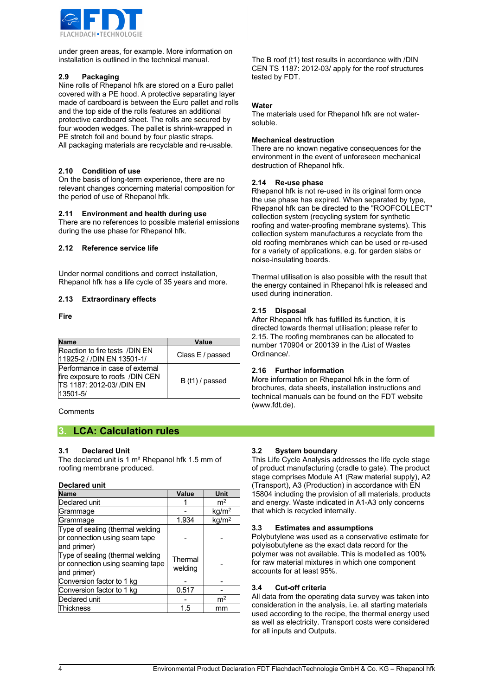

under green areas, for example. More information on installation is outlined in the technical manual.

#### **2.9 Packaging**

Nine rolls of Rhepanol hfk are stored on a Euro pallet covered with a PE hood. A protective separating layer made of cardboard is between the Euro pallet and rolls and the top side of the rolls features an additional protective cardboard sheet. The rolls are secured by four wooden wedges. The pallet is shrink-wrapped in PE stretch foil and bound by four plastic straps. All packaging materials are recyclable and re-usable.

#### **2.10 Condition of use**

On the basis of long-term experience, there are no relevant changes concerning material composition for the period of use of Rhepanol hfk.

#### **2.11 Environment and health during use**

There are no references to possible material emissions during the use phase for Rhepanol hfk.

#### **2.12 Reference service life**

Under normal conditions and correct installation, Rhepanol hfk has a life cycle of 35 years and more.

#### **2.13 Extraordinary effects**

**Fire**

| <b>Name</b>                                                                                                 | Value            |  |  |  |  |
|-------------------------------------------------------------------------------------------------------------|------------------|--|--|--|--|
| Reaction to fire tests /DIN EN<br>11925-2 / /DIN EN 13501-1/                                                | Class E / passed |  |  |  |  |
| Performance in case of external<br>fire exposure to roofs /DIN CEN<br>TS 1187: 2012-03/ /DIN EN<br>13501-5/ | B (t1) / passed  |  |  |  |  |

**Comments** 

## **3. LCA: Calculation rules**

#### **3.1 Declared Unit**

The declared unit is 1 m² Rhepanol hfk 1.5 mm of roofing membrane produced.

#### **Declared unit**

| <b>Name</b>                                                                         | Value              | <b>Unit</b>                       |
|-------------------------------------------------------------------------------------|--------------------|-----------------------------------|
| Declared unit                                                                       |                    | m <sup>2</sup>                    |
| Grammage                                                                            |                    | kg/m <sup>2</sup>                 |
| Grammage                                                                            | 1.934              | $\overline{\text{kg}}/\text{m}^2$ |
| Type of sealing (thermal welding<br>or connection using seam tape<br>and primer)    |                    |                                   |
| Type of sealing (thermal welding<br>or connection using seaming tape<br>and primer) | Thermal<br>welding |                                   |
| Conversion factor to 1 kg                                                           |                    |                                   |
| Conversion factor to 1 kg                                                           | 0.517              |                                   |
| Declared unit                                                                       |                    | m <sup>2</sup>                    |
| Thickness                                                                           | 1.5                | mm                                |

The B roof (t1) test results in accordance with /DIN CEN TS 1187: 2012-03/ apply for the roof structures tested by FDT.

#### **Water**

The materials used for Rhepanol hfk are not watersoluble.

#### **Mechanical destruction**

There are no known negative consequences for the environment in the event of unforeseen mechanical destruction of Rhepanol hfk.

#### **2.14 Re-use phase**

Rhepanol hfk is not re-used in its original form once the use phase has expired. When separated by type, Rhepanol hfk can be directed to the "ROOFCOLLECT" collection system (recycling system for synthetic roofing and water-proofing membrane systems). This collection system manufactures a recyclate from the old roofing membranes which can be used or re-used for a variety of applications, e.g. for garden slabs or noise-insulating boards.

Thermal utilisation is also possible with the result that the energy contained in Rhepanol hfk is released and used during incineration.

#### **2.15 Disposal**

After Rhepanol hfk has fulfilled its function, it is directed towards thermal utilisation; please refer to 2.15. The roofing membranes can be allocated to number 170904 or 200139 in the /List of Wastes Ordinance/.

#### **2.16 Further information**

More information on Rhepanol hfk in the form of brochures, data sheets, installation instructions and technical manuals can be found on the FDT website (www.fdt.de).

#### **3.2 System boundary**

This Life Cycle Analysis addresses the life cycle stage of product manufacturing (cradle to gate). The product stage comprises Module A1 (Raw material supply), A2 (Transport), A3 (Production) in accordance with EN 15804 including the provision of all materials, products and energy. Waste indicated in A1-A3 only concerns that which is recycled internally.

#### **3.3 Estimates and assumptions**

Polybutylene was used as a conservative estimate for polyisobutylene as the exact data record for the polymer was not available. This is modelled as 100% for raw material mixtures in which one component accounts for at least 95%.

#### **3.4 Cut-off criteria**

All data from the operating data survey was taken into consideration in the analysis, i.e. all starting materials used according to the recipe, the thermal energy used as well as electricity. Transport costs were considered for all inputs and Outputs.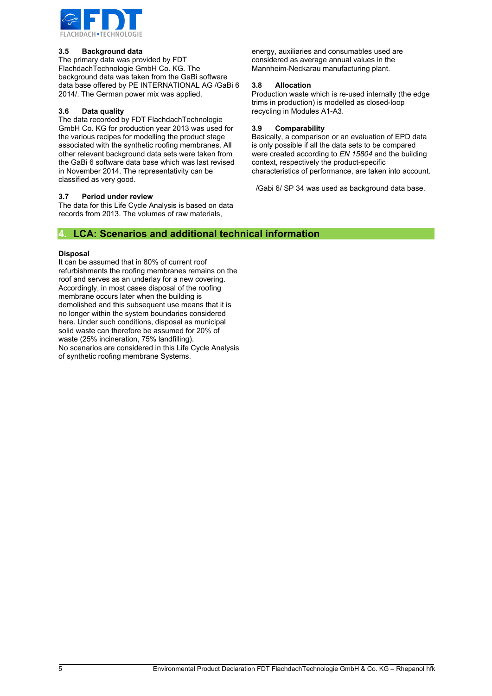

#### **3.5 Background data**

The primary data was provided by FDT FlachdachTechnologie GmbH Co. KG. The background data was taken from the GaBi software data base offered by PE INTERNATIONAL AG /GaBi 6 2014/. The German power mix was applied.

#### **3.6 Data quality**

The data recorded by FDT FlachdachTechnologie GmbH Co. KG for production year 2013 was used for the various recipes for modelling the product stage associated with the synthetic roofing membranes. All other relevant background data sets were taken from the GaBi 6 software data base which was last revised in November 2014. The representativity can be classified as very good.

#### **3.7 Period under review**

The data for this Life Cycle Analysis is based on data records from 2013. The volumes of raw materials,

energy, auxiliaries and consumables used are considered as average annual values in the Mannheim-Neckarau manufacturing plant.

#### **3.8 Allocation**

Production waste which is re-used internally (the edge trims in production) is modelled as closed-loop recycling in Modules A1-A3.

#### **3.9 Comparability**

Basically, a comparison or an evaluation of EPD data is only possible if all the data sets to be compared were created according to *EN 15804* and the building context, respectively the product-specific characteristics of performance, are taken into account.

/Gabi 6/ SP 34 was used as background data base.

## **4. LCA: Scenarios and additional technical information**

#### **Disposal**

It can be assumed that in 80% of current roof refurbishments the roofing membranes remains on the roof and serves as an underlay for a new covering. Accordingly, in most cases disposal of the roofing membrane occurs later when the building is demolished and this subsequent use means that it is no longer within the system boundaries considered here. Under such conditions, disposal as municipal solid waste can therefore be assumed for 20% of waste (25% incineration, 75% landfilling). No scenarios are considered in this Life Cycle Analysis of synthetic roofing membrane Systems.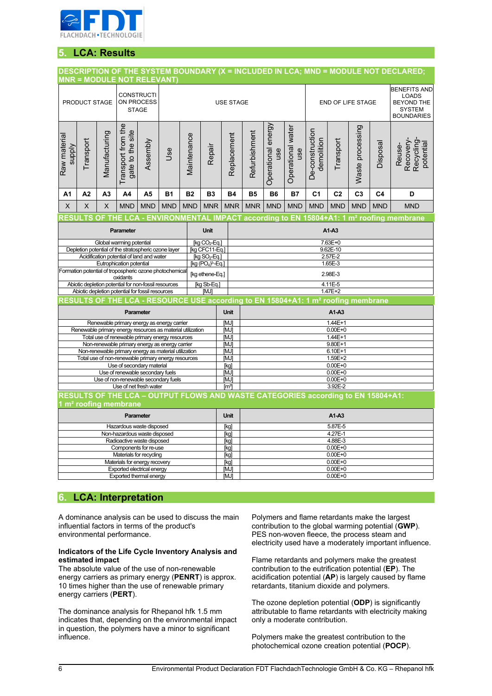

# **5. LCA: Results**

# **DESCRIPTION OF THE SYSTEM BOUNDARY (X = INCLUDED IN LCA; MND = MODULE NOT DECLARED;**

|                                                                                                               |                                                                                  |                |                                        | <b>MNR = MODULE NOT RELEVANT)</b>                             |                                                         |                            |                                                               |                     |                                                                                                                |                           |                          |                               |                |                  |                |                                                                                                |  |
|---------------------------------------------------------------------------------------------------------------|----------------------------------------------------------------------------------|----------------|----------------------------------------|---------------------------------------------------------------|---------------------------------------------------------|----------------------------|---------------------------------------------------------------|---------------------|----------------------------------------------------------------------------------------------------------------|---------------------------|--------------------------|-------------------------------|----------------|------------------|----------------|------------------------------------------------------------------------------------------------|--|
|                                                                                                               | PRODUCT STAGE                                                                    |                |                                        | <b>CONSTRUCTI</b><br>ON PROCESS<br><b>STAGE</b>               |                                                         |                            |                                                               | <b>USE STAGE</b>    |                                                                                                                |                           |                          | END OF LIFE STAGE             |                |                  |                | <b>BENEFITS AND</b><br><b>LOADS</b><br><b>BEYOND THE</b><br><b>SYSTEM</b><br><b>BOUNDARIES</b> |  |
| Raw material<br><b>Alddns</b>                                                                                 | Transport                                                                        | Manufacturing  | Transport from the<br>gate to the site | Assembly                                                      | Jse                                                     | Maintenance                | Repair                                                        | Replacement         | Refurbishment                                                                                                  | Operational energy<br>use | Operational water<br>use | De-construction<br>demolition | Transport      | Waste processing | Disposal       | Recovery-<br>Recycling<br>potential<br>Reuse-                                                  |  |
| A1                                                                                                            | A <sub>2</sub>                                                                   | A <sub>3</sub> | A4                                     | A <sub>5</sub>                                                | <b>B1</b>                                               | <b>B2</b>                  | <b>B3</b>                                                     | <b>B4</b>           | <b>B5</b>                                                                                                      | <b>B6</b>                 | <b>B7</b>                | C <sub>1</sub>                | C <sub>2</sub> | C <sub>3</sub>   | C <sub>4</sub> | D                                                                                              |  |
| X                                                                                                             | X                                                                                | X              | <b>MND</b>                             | <b>MND</b>                                                    | <b>MND</b>                                              | <b>MND</b>                 | <b>MNR</b>                                                    | <b>MNR</b>          | <b>MNR</b>                                                                                                     | <b>MND</b>                | <b>MND</b>               | <b>MND</b>                    | <b>MND</b>     | <b>MND</b>       | <b>MND</b>     | <b>MND</b>                                                                                     |  |
|                                                                                                               |                                                                                  |                |                                        |                                                               |                                                         |                            |                                                               |                     |                                                                                                                |                           |                          |                               |                |                  |                |                                                                                                |  |
|                                                                                                               |                                                                                  |                | Parameter                              |                                                               |                                                         |                            | <b>Unit</b>                                                   |                     | RESULTS OF THE LCA - ENVIRONMENTAL IMPACT according to EN 15804+A1: 1 m <sup>2</sup> roofing membrane<br>A1-A3 |                           |                          |                               |                |                  |                |                                                                                                |  |
|                                                                                                               |                                                                                  |                | Global warming potential               |                                                               |                                                         |                            | $\overline{[kg CO_{2} - Eq.]}$                                |                     |                                                                                                                |                           |                          |                               | 7.63E+0        |                  |                |                                                                                                |  |
|                                                                                                               |                                                                                  |                |                                        |                                                               | Depletion potential of the stratospheric ozone layer    |                            | [kg CFC11-Eq.]                                                |                     |                                                                                                                |                           |                          |                               | 9.62E-10       |                  |                |                                                                                                |  |
|                                                                                                               |                                                                                  |                | Eutrophication potential               | Acidification potential of land and water                     |                                                         |                            | [kg $SO_2$ -Eq.]<br>[kg (PO <sub>4</sub> ) <sup>3</sup> -Eq.] |                     | 2.57E-2<br>1.65E-3                                                                                             |                           |                          |                               |                |                  |                |                                                                                                |  |
|                                                                                                               |                                                                                  |                |                                        |                                                               | Formation potential of tropospheric ozone photochemical |                            | [kg ethene-Eq.]                                               |                     | 2.98E-3                                                                                                        |                           |                          |                               |                |                  |                |                                                                                                |  |
|                                                                                                               |                                                                                  |                | oxidants                               | Abiotic depletion potential for non-fossil resources          |                                                         |                            | [kg Sb-Eq.]                                                   |                     | 4.11E-5                                                                                                        |                           |                          |                               |                |                  |                |                                                                                                |  |
|                                                                                                               |                                                                                  |                |                                        | Abiotic depletion potential for fossil resources              |                                                         |                            | [MJ]                                                          |                     | 1.47E+2                                                                                                        |                           |                          |                               |                |                  |                |                                                                                                |  |
|                                                                                                               |                                                                                  |                |                                        |                                                               |                                                         |                            |                                                               |                     | RESULTS OF THE LCA - RESOURCE USE according to EN 15804+A1: 1 m <sup>2</sup> roofing membrane                  |                           |                          |                               |                |                  |                |                                                                                                |  |
| Parameter                                                                                                     |                                                                                  |                |                                        |                                                               |                                                         | <b>Unit</b>                | A1-A3                                                         |                     |                                                                                                                |                           |                          |                               |                |                  |                |                                                                                                |  |
| Renewable primary energy as energy carrier                                                                    |                                                                                  |                |                                        |                                                               |                                                         | [MJ]                       | $1.44E + 1$                                                   |                     |                                                                                                                |                           |                          |                               |                |                  |                |                                                                                                |  |
| Renewable primary energy resources as material utilization<br>Total use of renewable primary energy resources |                                                                                  |                |                                        |                                                               |                                                         | [MJ]                       | $0.00E + 0$                                                   |                     |                                                                                                                |                           |                          |                               |                |                  |                |                                                                                                |  |
|                                                                                                               |                                                                                  |                |                                        |                                                               | Non-renewable primary energy as energy carrier          |                            |                                                               | [MJ]<br>[MJ]        | 1.44E+1<br>$9.80E + 1$                                                                                         |                           |                          |                               |                |                  |                |                                                                                                |  |
|                                                                                                               |                                                                                  |                |                                        |                                                               | Non-renewable primary energy as material utilization    |                            |                                                               | [MJ]                | 6.10E+1                                                                                                        |                           |                          |                               |                |                  |                |                                                                                                |  |
|                                                                                                               |                                                                                  |                |                                        |                                                               | Total use of non-renewable primary energy resources     |                            |                                                               | [MJ]                | 1.59E+2                                                                                                        |                           |                          |                               |                |                  |                |                                                                                                |  |
|                                                                                                               |                                                                                  |                |                                        | Use of secondary material<br>Use of renewable secondary fuels |                                                         |                            |                                                               | [kg]<br>[MJ]        | $0.00E + 0$<br>$0.00E + 0$                                                                                     |                           |                          |                               |                |                  |                |                                                                                                |  |
|                                                                                                               |                                                                                  |                |                                        |                                                               | Use of non-renewable secondary fuels                    |                            |                                                               | [MJ]                | $0.00E + 0$                                                                                                    |                           |                          |                               |                |                  |                |                                                                                                |  |
|                                                                                                               |                                                                                  |                |                                        | Use of net fresh water                                        |                                                         |                            |                                                               | $\lceil m^3 \rceil$ | 3.92E-2                                                                                                        |                           |                          |                               |                |                  |                |                                                                                                |  |
|                                                                                                               | RESULTS OF THE LCA - OUTPUT FLOWS AND WASTE CATEGORIES according to EN 15804+A1: |                |                                        |                                                               |                                                         |                            |                                                               |                     |                                                                                                                |                           |                          |                               |                |                  |                |                                                                                                |  |
|                                                                                                               | m <sup>2</sup> roofing membrane                                                  |                |                                        |                                                               |                                                         |                            |                                                               |                     |                                                                                                                |                           |                          |                               |                |                  |                |                                                                                                |  |
| <b>Parameter</b>                                                                                              |                                                                                  |                |                                        |                                                               | Unit                                                    | $A1-A3$                    |                                                               |                     |                                                                                                                |                           |                          |                               |                |                  |                |                                                                                                |  |
| Hazardous waste disposed                                                                                      |                                                                                  |                |                                        |                                                               |                                                         | [kg]                       | 5.87E-5                                                       |                     |                                                                                                                |                           |                          |                               |                |                  |                |                                                                                                |  |
| Non-hazardous waste disposed<br>Radioactive waste disposed                                                    |                                                                                  |                |                                        |                                                               |                                                         | [kg]<br>[kg]               |                                                               |                     |                                                                                                                |                           | 4.27E-1<br>4.88E-3       |                               |                |                  |                |                                                                                                |  |
| Components for re-use                                                                                         |                                                                                  |                |                                        |                                                               |                                                         | [kg]                       | $0.00E + 0$                                                   |                     |                                                                                                                |                           |                          |                               |                |                  |                |                                                                                                |  |
| Materials for recycling                                                                                       |                                                                                  |                |                                        |                                                               |                                                         | [kg]                       | $0.00E + 0$                                                   |                     |                                                                                                                |                           |                          |                               |                |                  |                |                                                                                                |  |
| Materials for energy recovery                                                                                 |                                                                                  |                |                                        |                                                               |                                                         | [kg]                       | $0.00E + 0$                                                   |                     |                                                                                                                |                           |                          |                               |                |                  |                |                                                                                                |  |
| Exported electrical energy<br><b>Exported thermal energy</b>                                                  |                                                                                  |                |                                        |                                                               | [MJ]<br>[MJ]                                            | $0.00E + 0$<br>$0.00E + 0$ |                                                               |                     |                                                                                                                |                           |                          |                               |                |                  |                |                                                                                                |  |
|                                                                                                               |                                                                                  |                |                                        |                                                               |                                                         |                            |                                                               |                     |                                                                                                                |                           |                          |                               |                |                  |                |                                                                                                |  |

# **6. LCA: Interpretation**

A dominance analysis can be used to discuss the main influential factors in terms of the product's environmental performance.

#### **Indicators of the Life Cycle Inventory Analysis and estimated impact**

The absolute value of the use of non-renewable energy carriers as primary energy (**PENRT**) is approx. 10 times higher than the use of renewable primary energy carriers (**PERT**).

The dominance analysis for Rhepanol hfk 1.5 mm indicates that, depending on the environmental impact in question, the polymers have a minor to significant influence.

Polymers and flame retardants make the largest contribution to the global warming potential (**GWP**). PES non-woven fleece, the process steam and electricity used have a moderately important influence.

Flame retardants and polymers make the greatest contribution to the eutrification potential (**EP**). The acidification potential (**AP**) is largely caused by flame retardants, titanium dioxide and polymers.

The ozone depletion potential (**ODP**) is significantly attributable to flame retardants with electricity making only a moderate contribution.

Polymers make the greatest contribution to the photochemical ozone creation potential (**POCP**).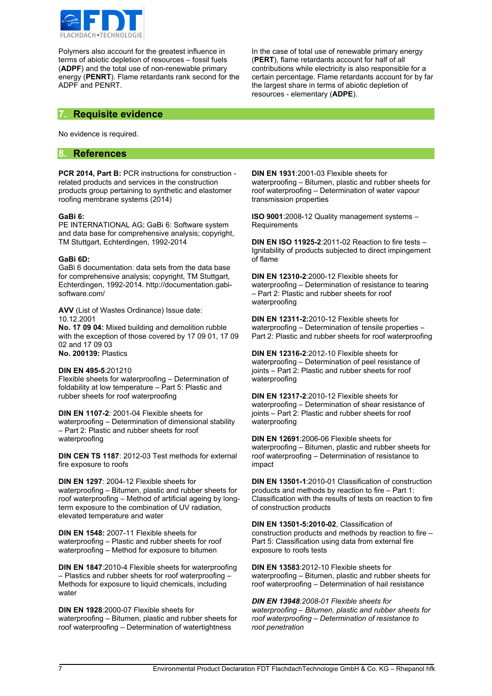

Polymers also account for the greatest influence in terms of abiotic depletion of resources – fossil fuels (**ADPF**) and the total use of non-renewable primary energy (**PENRT**). Flame retardants rank second for the ADPF and PENRT.

In the case of total use of renewable primary energy (**PERT**), flame retardants account for half of all contributions while electricity is also responsible for a certain percentage. Flame retardants account for by far the largest share in terms of abiotic depletion of resources - elementary (**ADPE**).

## **7. Requisite evidence**

No evidence is required.

## **8. References**

**PCR 2014, Part B:** PCR instructions for construction related products and services in the construction products group pertaining to synthetic and elastomer roofing membrane systems (2014)

#### **GaBi 6:**

PE INTERNATIONAL AG; GaBi 6: Software system and data base for comprehensive analysis; copyright, TM Stuttgart, Echterdingen, 1992-2014

#### **GaBi 6D:**

GaBi 6 documentation: data sets from the data base for comprehensive analysis; copyright, TM Stuttgart, Echterdingen, 1992-2014. http://documentation.gabisoftware.com/

**AVV** (List of Wastes Ordinance) Issue date: 10.12.2001 **No. 17 09 04:** Mixed building and demolition rubble

with the exception of those covered by 17 09 01, 17 09 02 and 17 09 03 **No. 200139:** Plastics

#### **DIN EN 495-5**:201210

Flexible sheets for waterproofing – Determination of foldability at low temperature – Part 5: Plastic and rubber sheets for roof waterproofing

**DIN EN 1107-2**: 2001-04 Flexible sheets for waterproofing – Determination of dimensional stability – Part 2: Plastic and rubber sheets for roof waterproofing

**DIN CEN TS 1187**: 2012-03 Test methods for external fire exposure to roofs

**DIN EN 1297**: 2004-12 Flexible sheets for waterproofing – Bitumen, plastic and rubber sheets for roof waterproofing – Method of artificial ageing by longterm exposure to the combination of UV radiation, elevated temperature and water

**DIN EN 1548:** 2007-11 Flexible sheets for waterproofing – Plastic and rubber sheets for roof waterproofing – Method for exposure to bitumen

**DIN EN 1847**:2010-4 Flexible sheets for waterproofing – Plastics and rubber sheets for roof waterproofing – Methods for exposure to liquid chemicals, including water

**DIN EN 1928**:2000-07 Flexible sheets for waterproofing – Bitumen, plastic and rubber sheets for roof waterproofing – Determination of watertightness

**DIN EN 1931**:2001-03 Flexible sheets for waterproofing – Bitumen, plastic and rubber sheets for roof waterproofing – Determination of water vapour transmission properties

**ISO 9001**:2008-12 Quality management systems – **Requirements** 

**DIN EN ISO 11925-2**:2011-02 Reaction to fire tests – Ignitability of products subjected to direct impingement of flame

**DIN EN 12310-2**:2000-12 Flexible sheets for waterproofing – Determination of resistance to tearing – Part 2: Plastic and rubber sheets for roof waterproofing

**DIN EN 12311-2:**2010-12 Flexible sheets for waterproofing – Determination of tensile properties – Part 2: Plastic and rubber sheets for roof waterproofing

**DIN EN 12316-2**:2012-10 Flexible sheets for waterproofing – Determination of peel resistance of joints – Part 2: Plastic and rubber sheets for roof waterproofing

**DIN EN 12317-2**:2010-12 Flexible sheets for waterproofing – Determination of shear resistance of joints – Part 2: Plastic and rubber sheets for roof waterproofing

**DIN EN 12691**:2006-06 Flexible sheets for waterproofing – Bitumen, plastic and rubber sheets for roof waterproofing – Determination of resistance to impact

**DIN EN 13501-1**:2010-01 Classification of construction products and methods by reaction to fire – Part 1: Classification with the results of tests on reaction to fire of construction products

**DIN EN 13501-5:2010-02**, Classification of construction products and methods by reaction to fire – Part 5: Classification using data from external fire exposure to roofs tests

**DIN EN 13583**:2012-10 Flexible sheets for waterproofing – Bitumen, plastic and rubber sheets for roof waterproofing – Determination of hail resistance

*DIN EN 13948:2008-01 Flexible sheets for waterproofing – Bitumen, plastic and rubber sheets for roof waterproofing – Determination of resistance to root penetration*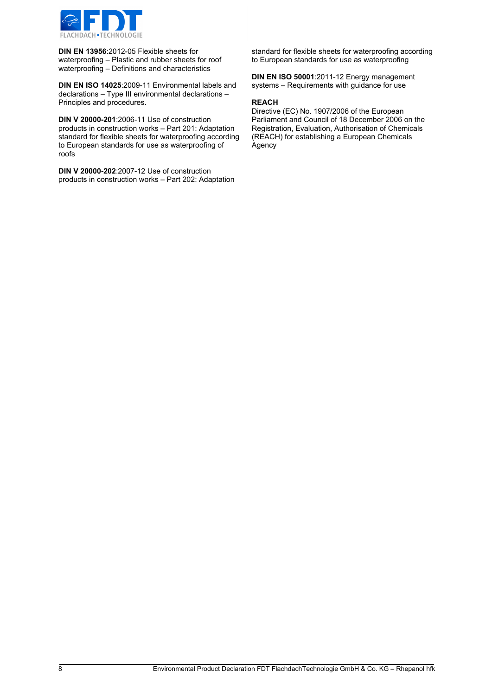

**DIN EN 13956**:2012-05 Flexible sheets for waterproofing – Plastic and rubber sheets for roof waterproofing – Definitions and characteristics

**DIN EN ISO 14025**:2009-11 Environmental labels and declarations – Type III environmental declarations – Principles and procedures.

**DIN V 20000-201**:2006-11 Use of construction products in construction works – Part 201: Adaptation standard for flexible sheets for waterproofing according to European standards for use as waterproofing of roofs

**DIN V 20000-202**:2007-12 Use of construction products in construction works – Part 202: Adaptation standard for flexible sheets for waterproofing according to European standards for use as waterproofing

**DIN EN ISO 50001**:2011-12 Energy management systems – Requirements with guidance for use

#### **REACH**

Directive (EC) No. 1907/2006 of the European Parliament and Council of 18 December 2006 on the Registration, Evaluation, Authorisation of Chemicals (REACH) for establishing a European Chemicals Agency